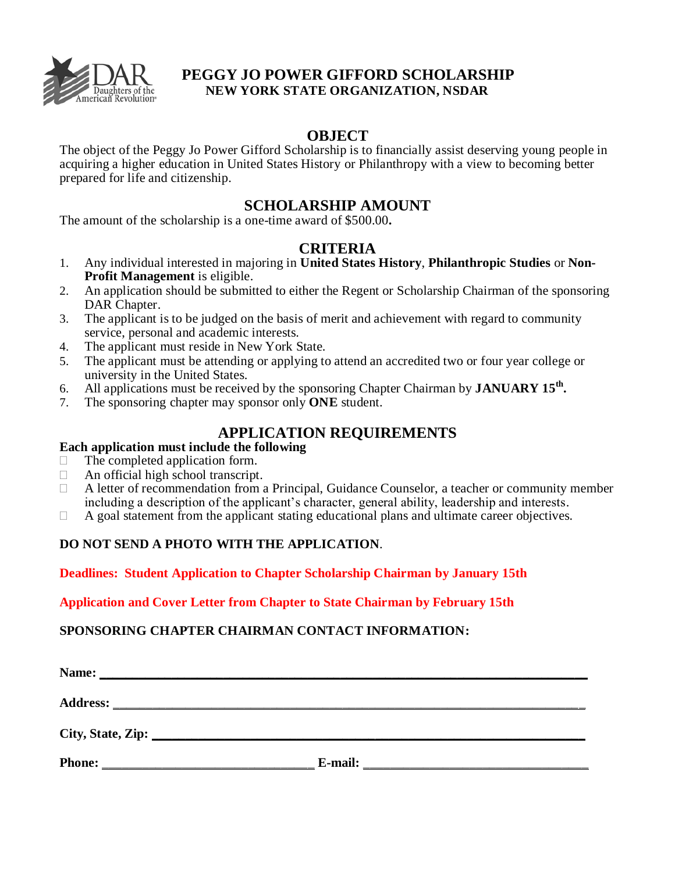

# **PEGGY JO POWER GIFFORD SCHOLARSHIP NEW YORK STATE ORGANIZATION, NSDAR**

## **OBJECT**

The object of the Peggy Jo Power Gifford Scholarship is to financially assist deserving young people in acquiring a higher education in United States History or Philanthropy with a view to becoming better prepared for life and citizenship.

# **SCHOLARSHIP AMOUNT**

The amount of the scholarship is a one-time award of \$500.00**.**

## **CRITERIA**

- 1. Any individual interested in majoring in **United States History**, **Philanthropic Studies** or **Non-Profit Management** is eligible.
- 2. An application should be submitted to either the Regent or Scholarship Chairman of the sponsoring DAR Chapter.
- 3. The applicant is to be judged on the basis of merit and achievement with regard to community service, personal and academic interests.
- 4. The applicant must reside in New York State.
- 5. The applicant must be attending or applying to attend an accredited two or four year college or university in the United States.
- 6. All applications must be received by the sponsoring Chapter Chairman by **JANUARY 15th .**
- 7. The sponsoring chapter may sponsor only **ONE** student.

# **APPLICATION REQUIREMENTS**

### **Each application must include the following**

- $\Box$  The completed application form.
- $\Box$  An official high school transcript.
- A letter of recommendation from a Principal, Guidance Counselor, a teacher or community member including a description of the applicant's character, general ability, leadership and interests.
- $\Box$  A goal statement from the applicant stating educational plans and ultimate career objectives.

## **DO NOT SEND A PHOTO WITH THE APPLICATION**.

#### **Deadlines: Student Application to Chapter Scholarship Chairman by January 15th**

#### **Application and Cover Letter from Chapter to State Chairman by February 15th**

#### **SPONSORING CHAPTER CHAIRMAN CONTACT INFORMATION:**

| Name:         |         |  |
|---------------|---------|--|
|               |         |  |
|               |         |  |
| <b>Phone:</b> | E-mail: |  |